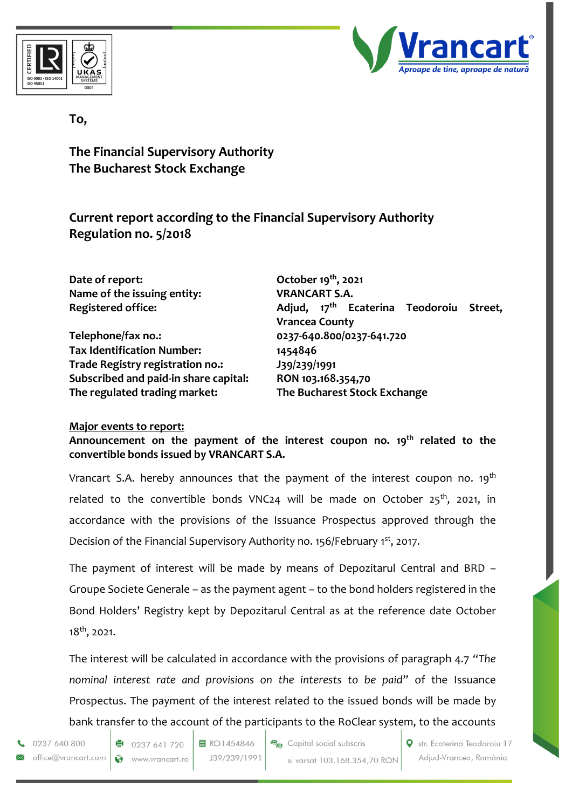



## **To,**

**The Financial Supervisory Authority The Bucharest Stock Exchange**

**Current report according to the Financial Supervisory Authority Regulation no. 5/2018**

**Date of report:** October 19<sup>th</sup>, 2021 **Name of the issuing entity: VRANCART S.A.** 

**Telephone/fax no.: 0237-640.800/0237-641.720 Tax Identification Number: 1454846 Trade Registry registration no.: J39/239/1991 Subscribed and paid-in share capital: RON 103.168.354,70 The regulated trading market: The Bucharest Stock Exchange**

**Registered office: Adjud, 17th Ecaterina Teodoroiu Street, Vrancea County**

## **Major events to report:**

**Announcement on the payment of the interest coupon no. 19 th related to the convertible bonds issued by VRANCART S.A.**

Vrancart S.A. hereby announces that the payment of the interest coupon no. 19<sup>th</sup> related to the convertible bonds VNC24 will be made on October 25<sup>th</sup>, 2021, in accordance with the provisions of the Issuance Prospectus approved through the Decision of the Financial Supervisory Authority no. 156/February 1st, 2017.

The payment of interest will be made by means of Depozitarul Central and BRD – Groupe Societe Generale – as the payment agent – to the bond holders registered in the Bond Holders' Registry kept by Depozitarul Central as at the reference date October 18th, 2021.

The interest will be calculated in accordance with the provisions of paragraph 4.7 *"The nominal interest rate and provisions on the interests to be paid"* of the Issuance Prospectus. The payment of the interest related to the issued bonds will be made by bank transfer to the account of the participants to the RoClear system, to the accounts

0237 640 800 office@vrancart.com 目 RO1454846 J39/239/1991 Capital social subscris si varsat 103.168.354,70 RON

Str. Ecaterina Teodoroiu 17 Adjud-Vrancea, România